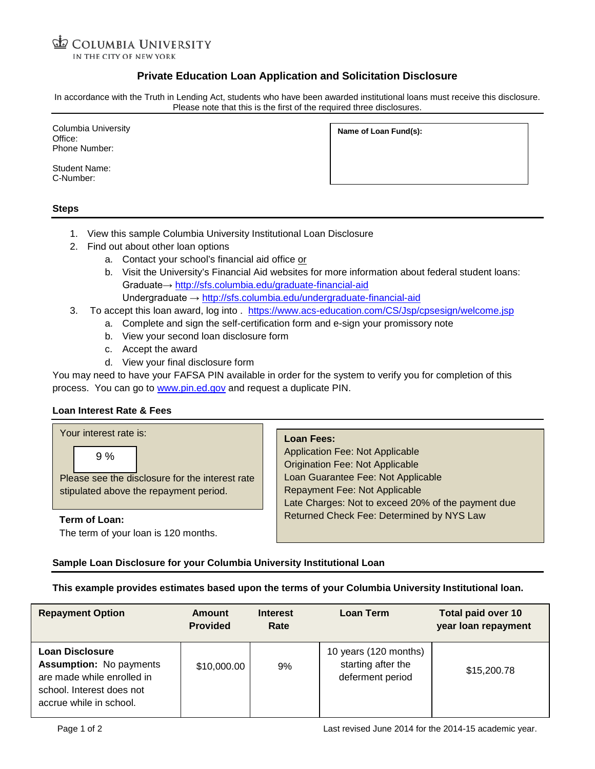COLUMBIA UNIVERSITY IN THE CITY OF NEW YORK

# **Private Education Loan Application and Solicitation Disclosure**

In accordance with the Truth in Lending Act, students who have been awarded institutional loans must receive this disclosure. Please note that this is the first of the required three disclosures.

Columbia University Office: Phone Number:

Student Name: C-Number:

**Name of Loan Fund(s):**

## **Steps**

- 1. View this sample Columbia University Institutional Loan Disclosure
- 2. Find out about other loan options
	- a. Contact your school's financial aid office or
	- b. Visit the University's Financial Aid websites for more information about federal student loans: Graduate→ <http://sfs.columbia.edu/graduate-financial-aid> Undergraduate → <http://sfs.columbia.edu/undergraduate-financial-aid>
- 3. To accept this loan award, log into . <https://www.acs-education.com/CS/Jsp/cpsesign/welcome.jsp>
	- a. Complete and sign the self-certification form and e-sign your promissory note
	- b. View your second loan disclosure form
	- c. Accept the award
	- d. View your final disclosure form

You may need to have your FAFSA PIN available in order for the system to verify you for completion of this process. You can go to [www.pin.ed.gov](http://www.pin.ed.gov/) and request a duplicate PIN.

## **Loan Interest Rate & Fees**

Your interest rate is:

9 %

Please see the disclosure for the interest rate stipulated above the repayment period.

**Term of Loan:** The term of your loan is 120 months. **Loan Fees:**

Application Fee: Not Applicable Origination Fee: Not Applicable Loan Guarantee Fee: Not Applicable Repayment Fee: Not Applicable Late Charges: Not to exceed 20% of the payment due Returned Check Fee: Determined by NYS Law

## **Sample Loan Disclosure for your Columbia University Institutional Loan**

## **This example provides estimates based upon the terms of your Columbia University Institutional loan.**

| <b>Repayment Option</b>                                                                                                                 | <b>Amount</b><br><b>Provided</b> | <b>Interest</b><br>Rate | Loan Term                                                       | Total paid over 10<br>year loan repayment |
|-----------------------------------------------------------------------------------------------------------------------------------------|----------------------------------|-------------------------|-----------------------------------------------------------------|-------------------------------------------|
| Loan Disclosure<br><b>Assumption: No payments</b><br>are made while enrolled in<br>school. Interest does not<br>accrue while in school. | \$10,000.00                      | 9%                      | 10 years (120 months)<br>starting after the<br>deferment period | \$15,200.78                               |